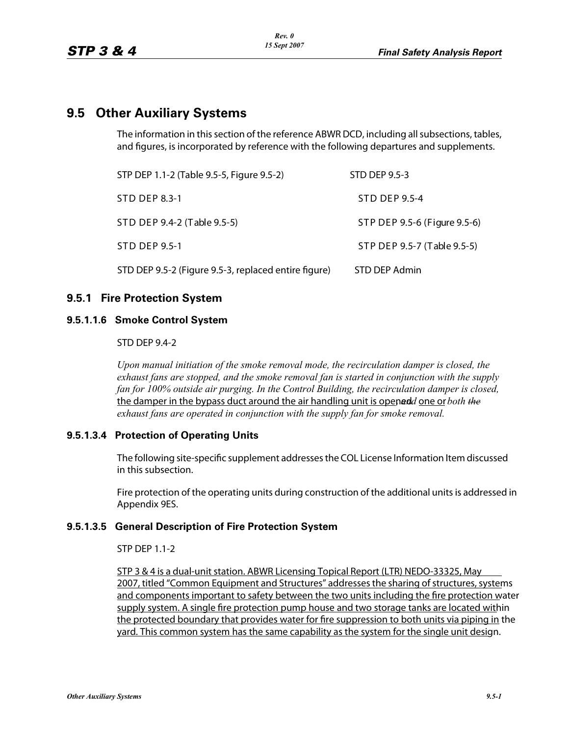# **9.5 Other Auxiliary Systems**

The information in this section of the reference ABWR DCD, including all subsections, tables, and figures, is incorporated by reference with the following departures and supplements.

| STP DEP 1.1-2 (Table 9.5-5, Figure 9.5-2)            | STD DEP 9.5-3                |
|------------------------------------------------------|------------------------------|
| <b>STD DEP 8.3-1</b>                                 | STD DEP 9.5-4                |
| STD DEP 9.4-2 (Table 9.5-5)                          | STP DEP 9.5-6 (Figure 9.5-6) |
| STD DEP 9.5-1                                        | STP DEP 9.5-7 (Table 9.5-5)  |
| STD DEP 9.5-2 (Figure 9.5-3, replaced entire figure) | STD DEP Admin                |

## **9.5.1 Fire Protection System**

### **9.5.1.1.6 Smoke Control System**

#### STD DEP 9.4-2

*Upon manual initiation of the smoke removal mode, the recirculation damper is closed, the exhaust fans are stopped, and the smoke removal fan is started in conjunction with the supply fan for 100% outside air purging. In the Control Building, the recirculation damper is closed,* the damper in the bypass duct around the air handling unit is openedd one or *both the exhaust fans are operated in conjunction with the supply fan for smoke removal.*

#### **9.5.1.3.4 Protection of Operating Units**

The following site-specific supplement addresses the COL License Information Item discussed in this subsection.

Fire protection of the operating units during construction of the additional units is addressed in Appendix 9ES.

#### **9.5.1.3.5 General Description of Fire Protection System**

STP DEP 1.1-2

STP 3 & 4 is a dual-unit station. ABWR Licensing Topical Report (LTR) NEDO-33325, May 2007, titled "Common Equipment and Structures" addresses the sharing of structures, systems and components important to safety between the two units including the fire protection water supply system. A single fire protection pump house and two storage tanks are located within the protected boundary that provides water for fire suppression to both units via piping in the yard. This common system has the same capability as the system for the single unit design.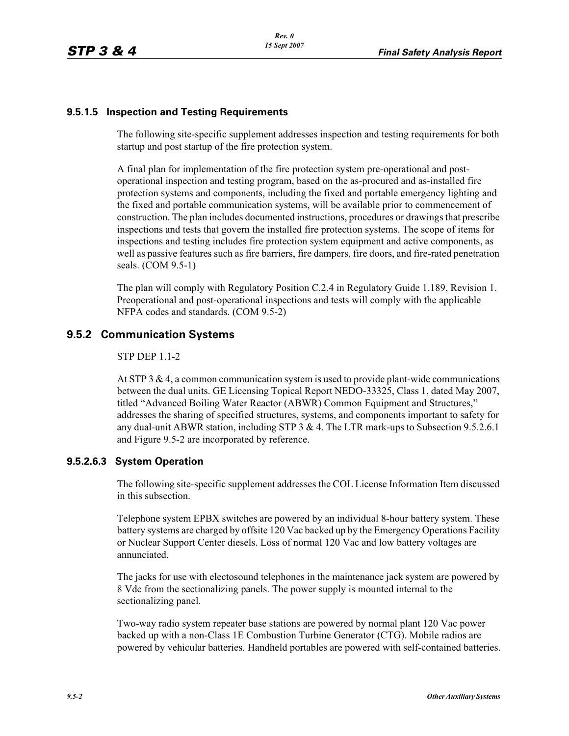## **9.5.1.5 Inspection and Testing Requirements**

The following site-specific supplement addresses inspection and testing requirements for both startup and post startup of the fire protection system.

A final plan for implementation of the fire protection system pre-operational and postoperational inspection and testing program, based on the as-procured and as-installed fire protection systems and components, including the fixed and portable emergency lighting and the fixed and portable communication systems, will be available prior to commencement of construction. The plan includes documented instructions, procedures or drawings that prescribe inspections and tests that govern the installed fire protection systems. The scope of items for inspections and testing includes fire protection system equipment and active components, as well as passive features such as fire barriers, fire dampers, fire doors, and fire-rated penetration seals. (COM 9.5-1)

The plan will comply with Regulatory Position C.2.4 in Regulatory Guide 1.189, Revision 1. Preoperational and post-operational inspections and tests will comply with the applicable NFPA codes and standards. (COM 9.5-2)

## **9.5.2 Communication Systems**

#### STP DEP 1.1-2

At STP 3  $\&$  4, a common communication system is used to provide plant-wide communications between the dual units. GE Licensing Topical Report NEDO-33325, Class 1, dated May 2007, titled "Advanced Boiling Water Reactor (ABWR) Common Equipment and Structures," addresses the sharing of specified structures, systems, and components important to safety for any dual-unit ABWR station, including STP 3  $& 4$ . The LTR mark-ups to Subsection 9.5.2.6.1 and Figure 9.5-2 are incorporated by reference.

#### **9.5.2.6.3 System Operation**

The following site-specific supplement addresses the COL License Information Item discussed in this subsection.

Telephone system EPBX switches are powered by an individual 8-hour battery system. These battery systems are charged by offsite 120 Vac backed up by the Emergency Operations Facility or Nuclear Support Center diesels. Loss of normal 120 Vac and low battery voltages are annunciated.

The jacks for use with electosound telephones in the maintenance jack system are powered by 8 Vdc from the sectionalizing panels. The power supply is mounted internal to the sectionalizing panel.

Two-way radio system repeater base stations are powered by normal plant 120 Vac power backed up with a non-Class 1E Combustion Turbine Generator (CTG). Mobile radios are powered by vehicular batteries. Handheld portables are powered with self-contained batteries.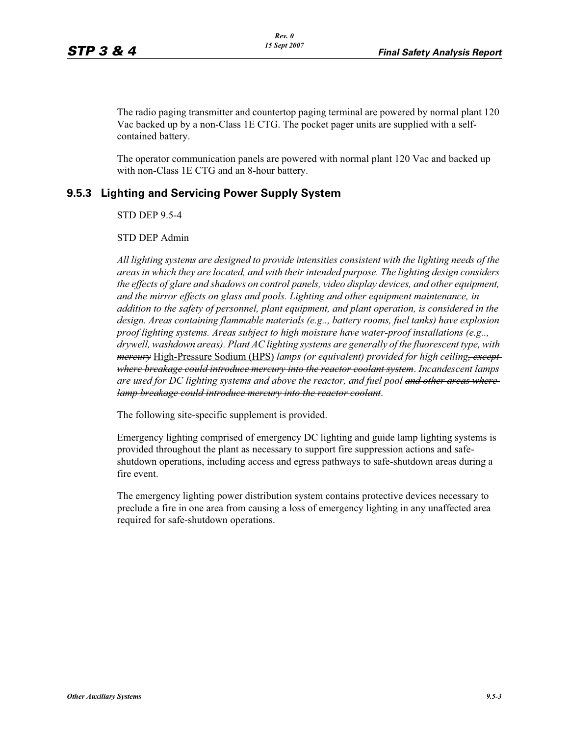The radio paging transmitter and countertop paging terminal are powered by normal plant 120 Vac backed up by a non-Class 1E CTG. The pocket pager units are supplied with a selfcontained battery.

The operator communication panels are powered with normal plant 120 Vac and backed up with non-Class 1E CTG and an 8-hour battery.

## **9.5.3 Lighting and Servicing Power Supply System**

STD DEP 9.5-4

STD DEP Admin

*All lighting systems are designed to provide intensities consistent with the lighting needs of the areas in which they are located, and with their intended purpose. The lighting design considers the effects of glare and shadows on control panels, video display devices, and other equipment, and the mirror effects on glass and pools. Lighting and other equipment maintenance, in addition to the safety of personnel, plant equipment, and plant operation, is considered in the design. Areas containing flammable materials (e.g.., battery rooms, fuel tanks) have explosion proof lighting systems. Areas subject to high moisture have water-proof installations (e.g.., drywell, washdown areas). Plant AC lighting systems are generally of the fluorescent type, with mercury* High-Pressure Sodium (HPS) *lamps (or equivalent) provided for high ceiling, except where breakage could introduce mercury into the reactor coolant system*. *Incandescent lamps are used for DC lighting systems and above the reactor, and fuel pool and other areas where lamp breakage could introduce mercury into the reactor coolant*.

The following site-specific supplement is provided.

Emergency lighting comprised of emergency DC lighting and guide lamp lighting systems is provided throughout the plant as necessary to support fire suppression actions and safeshutdown operations, including access and egress pathways to safe-shutdown areas during a fire event.

The emergency lighting power distribution system contains protective devices necessary to preclude a fire in one area from causing a loss of emergency lighting in any unaffected area required for safe-shutdown operations.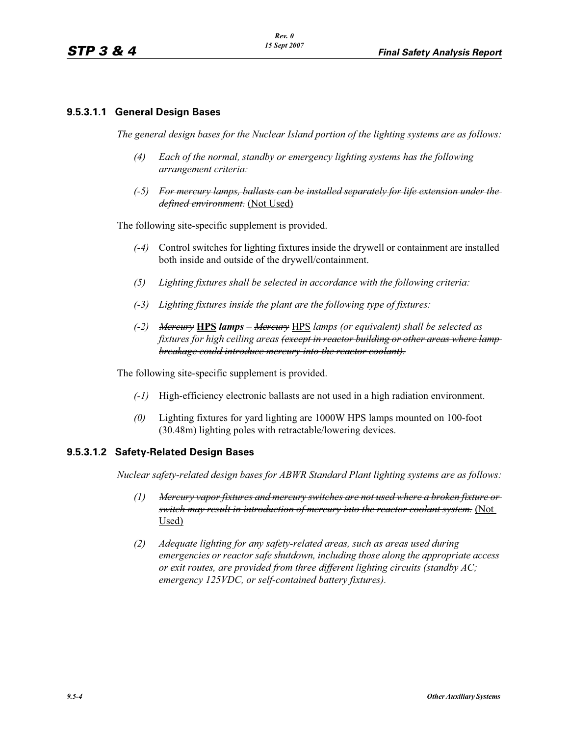#### **9.5.3.1.1 General Design Bases**

*The general design bases for the Nuclear Island portion of the lighting systems are as follows:*

- *(4) Each of the normal, standby or emergency lighting systems has the following arrangement criteria:*
- *(-5) For mercury lamps, ballasts can be installed separately for life extension under the defined environment.* (Not Used)

The following site-specific supplement is provided.

- *(-4)* Control switches for lighting fixtures inside the drywell or containment are installed both inside and outside of the drywell/containment.
- *(5) Lighting fixtures shall be selected in accordance with the following criteria:*
- *(-3) Lighting fixtures inside the plant are the following type of fixtures:*
- *(-2) Mercury* **HPS** *lamps Mercury* HPS *lamps (or equivalent) shall be selected as fixtures for high ceiling areas (except in reactor building or other areas where lamp breakage could introduce mercury into the reactor coolant).*

The following site-specific supplement is provided.

- *(-1)* High-efficiency electronic ballasts are not used in a high radiation environment.
- *(0)* Lighting fixtures for yard lighting are 1000W HPS lamps mounted on 100-foot (30.48m) lighting poles with retractable/lowering devices.

#### **9.5.3.1.2 Safety-Related Design Bases**

*Nuclear safety-related design bases for ABWR Standard Plant lighting systems are as follows:*

- *(1) Mercury vapor fixtures and mercury switches are not used where a broken fixture or switch may result in introduction of mercury into the reactor coolant system.* (Not Used)
- *(2) Adequate lighting for any safety-related areas, such as areas used during emergencies or reactor safe shutdown, including those along the appropriate access or exit routes, are provided from three different lighting circuits (standby AC; emergency 125VDC, or self-contained battery fixtures).*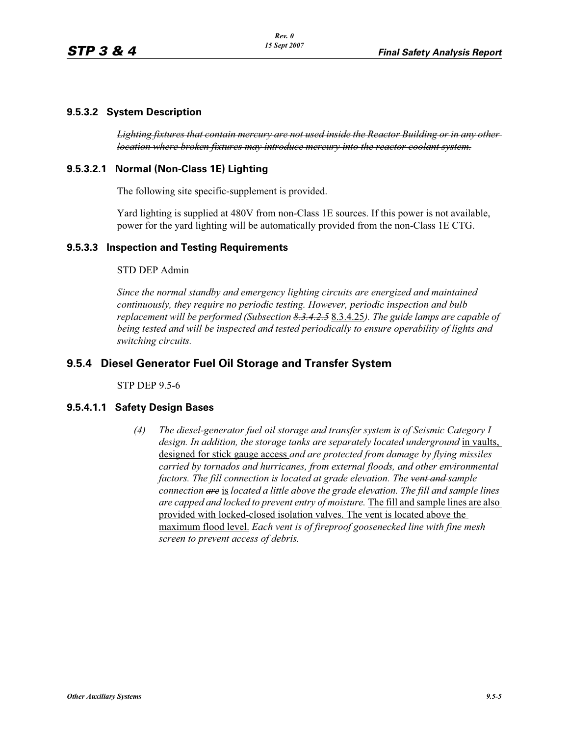### **9.5.3.2 System Description**

*Lighting fixtures that contain mercury are not used inside the Reactor Building or in any other location where broken fixtures may introduce mercury into the reactor coolant system.*

## **9.5.3.2.1 Normal (Non-Class 1E) Lighting**

The following site specific-supplement is provided.

Yard lighting is supplied at 480V from non-Class 1E sources. If this power is not available, power for the yard lighting will be automatically provided from the non-Class 1E CTG.

#### **9.5.3.3 Inspection and Testing Requirements**

#### STD DEP Admin

*Since the normal standby and emergency lighting circuits are energized and maintained continuously, they require no periodic testing. However, periodic inspection and bulb replacement will be performed (Subsection 8.3.4.2.5* 8.3.4.25*). The guide lamps are capable of being tested and will be inspected and tested periodically to ensure operability of lights and switching circuits.*

## **9.5.4 Diesel Generator Fuel Oil Storage and Transfer System**

STP DEP 9.5-6

#### **9.5.4.1.1 Safety Design Bases**

*(4) The diesel-generator fuel oil storage and transfer system is of Seismic Category I design. In addition, the storage tanks are separately located underground* in vaults, designed for stick gauge access *and are protected from damage by flying missiles carried by tornados and hurricanes, from external floods, and other environmental factors. The fill connection is located at grade elevation. The vent and sample connection are* is *located a little above the grade elevation. The fill and sample lines are capped and locked to prevent entry of moisture.* The fill and sample lines are also provided with locked-closed isolation valves. The vent is located above the maximum flood level. *Each vent is of fireproof goosenecked line with fine mesh screen to prevent access of debris.*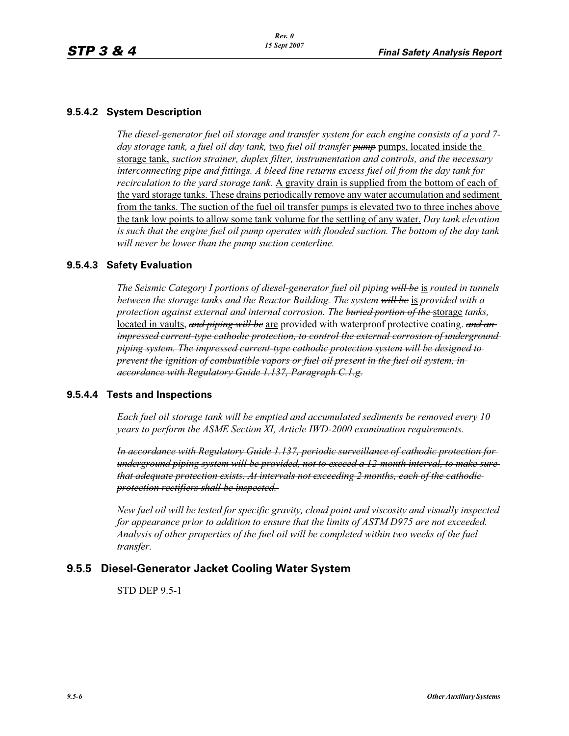#### **9.5.4.2 System Description**

*The diesel-generator fuel oil storage and transfer system for each engine consists of a yard 7 day storage tank, a fuel oil day tank,* two *fuel oil transfer pump* pumps, located inside the storage tank, *suction strainer, duplex filter, instrumentation and controls, and the necessary interconnecting pipe and fittings. A bleed line returns excess fuel oil from the day tank for recirculation to the yard storage tank.* A gravity drain is supplied from the bottom of each of the yard storage tanks. These drains periodically remove any water accumulation and sediment from the tanks. The suction of the fuel oil transfer pumps is elevated two to three inches above the tank low points to allow some tank volume for the settling of any water. *Day tank elevation is such that the engine fuel oil pump operates with flooded suction. The bottom of the day tank will never be lower than the pump suction centerline.*

#### **9.5.4.3 Safety Evaluation**

*The Seismic Category I portions of diesel-generator fuel oil piping will be* is *routed in tunnels between the storage tanks and the Reactor Building. The system will be* is *provided with a protection against external and internal corrosion. The buried portion of the* storage *tanks,*  located in vaults, *and piping will be* are provided with waterproof protective coating. *and an impressed current-type cathodic protection, to control the external corrosion of underground piping system. The impressed current-type cathodic protection system will be designed to prevent the ignition of combustible vapors or fuel oil present in the fuel oil system, in accordance with Regulatory Guide 1.137, Paragraph C.1.g.*

#### **9.5.4.4 Tests and Inspections**

*Each fuel oil storage tank will be emptied and accumulated sediments be removed every 10 years to perform the ASME Section XI, Article IWD-2000 examination requirements.*

*In accordance with Regulatory Guide 1.137, periodic surveillance of cathodic protection for underground piping system will be provided, not to exceed a 12-month interval, to make sure that adequate protection exists. At intervals not exceeding 2 months, each of the cathodic protection rectifiers shall be inspected.* 

*New fuel oil will be tested for specific gravity, cloud point and viscosity and visually inspected for appearance prior to addition to ensure that the limits of ASTM D975 are not exceeded. Analysis of other properties of the fuel oil will be completed within two weeks of the fuel transfer.*

#### **9.5.5 Diesel-Generator Jacket Cooling Water System**

STD DEP 9.5-1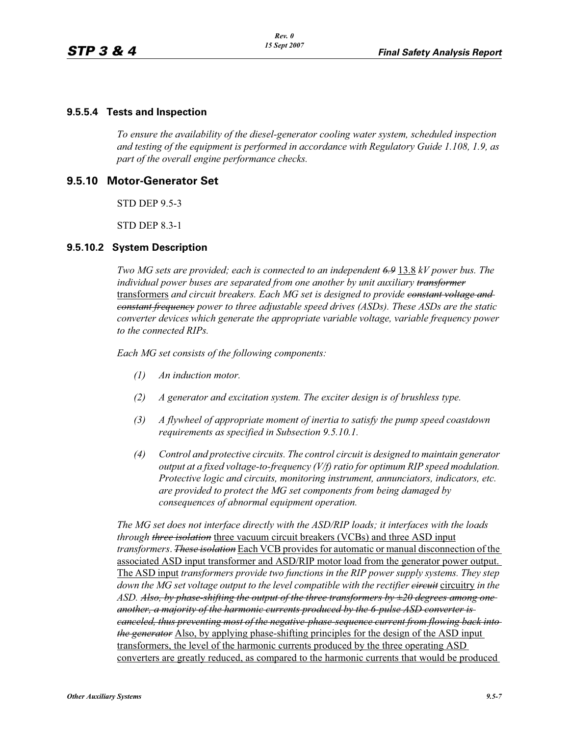#### **9.5.5.4 Tests and Inspection**

*To ensure the availability of the diesel-generator cooling water system, scheduled inspection and testing of the equipment is performed in accordance with Regulatory Guide 1.108, 1.9, as part of the overall engine performance checks.*

## **9.5.10 Motor-Generator Set**

STD DEP 9.5-3

STD DEP 8.3-1

#### **9.5.10.2 System Description**

*Two MG sets are provided; each is connected to an independent 6.9* 13.8 *kV power bus. The individual power buses are separated from one another by unit auxiliary transformer* transformers *and circuit breakers. Each MG set is designed to provide constant voltage and constant frequency power to three adjustable speed drives (ASDs). These ASDs are the static converter devices which generate the appropriate variable voltage, variable frequency power to the connected RIPs.*

*Each MG set consists of the following components:*

- *(1) An induction motor.*
- *(2) A generator and excitation system. The exciter design is of brushless type.*
- *(3) A flywheel of appropriate moment of inertia to satisfy the pump speed coastdown requirements as specified in Subsection 9.5.10.1.*
- *(4) Control and protective circuits. The control circuit is designed to maintain generator output at a fixed voltage-to-frequency (V/f) ratio for optimum RIP speed modulation. Protective logic and circuits, monitoring instrument, annunciators, indicators, etc. are provided to protect the MG set components from being damaged by consequences of abnormal equipment operation.*

*The MG set does not interface directly with the ASD/RIP loads; it interfaces with the loads through three isolation* three vacuum circuit breakers (VCBs) and three ASD input *transformers*. *These isolation* Each VCB provides for automatic or manual disconnection of the associated ASD input transformer and ASD/RIP motor load from the generator power output. The ASD input *transformers provide two functions in the RIP power supply systems. They step down the MG set voltage output to the level compatible with the rectifier*  $\epsilon$  *<i>ireally in the ASD. Also, by phase-shifting the output of the three transformers by ±20 degrees among one another, a majority of the harmonic currents produced by the 6-pulse ASD converter is canceled, thus preventing most of the negative-phase-sequence current from flowing back into the generator* Also, by applying phase-shifting principles for the design of the ASD input transformers, the level of the harmonic currents produced by the three operating ASD converters are greatly reduced, as compared to the harmonic currents that would be produced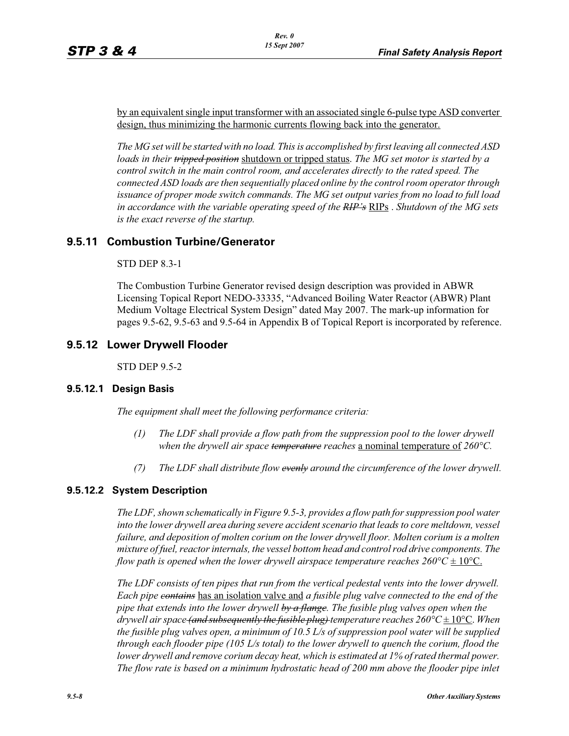by an equivalent single input transformer with an associated single 6-pulse type ASD converter design, thus minimizing the harmonic currents flowing back into the generator.

*The MG set will be started with no load. This is accomplished by first leaving all connected ASD loads in their tripped position* shutdown or tripped status. *The MG set motor is started by a control switch in the main control room, and accelerates directly to the rated speed. The connected ASD loads are then sequentially placed online by the control room operator through issuance of proper mode switch commands. The MG set output varies from no load to full load in accordance with the variable operating speed of the RIP's* RIPs . *Shutdown of the MG sets is the exact reverse of the startup.*

## **9.5.11 Combustion Turbine/Generator**

## STD DEP 8.3-1

The Combustion Turbine Generator revised design description was provided in ABWR Licensing Topical Report NEDO-33335, "Advanced Boiling Water Reactor (ABWR) Plant Medium Voltage Electrical System Design" dated May 2007. The mark-up information for pages 9.5-62, 9.5-63 and 9.5-64 in Appendix B of Topical Report is incorporated by reference.

## **9.5.12 Lower Drywell Flooder**

STD DEP 9.5-2

## **9.5.12.1 Design Basis**

*The equipment shall meet the following performance criteria:*

- *(1) The LDF shall provide a flow path from the suppression pool to the lower drywell when the drywell air space temperature reaches* a nominal temperature of *260°C.*
- *(7) The LDF shall distribute flow evenly around the circumference of the lower drywell.*

## **9.5.12.2 System Description**

*The LDF, shown schematically in Figure 9.5-3, provides a flow path for suppression pool water into the lower drywell area during severe accident scenario that leads to core meltdown, vessel failure, and deposition of molten corium on the lower drywell floor. Molten corium is a molten mixture of fuel, reactor internals, the vessel bottom head and control rod drive components. The flow path is opened when the lower drywell airspace temperature reaches*  $260^{\circ}\text{C} \pm 10^{\circ}\text{C}$ *.* 

*The LDF consists of ten pipes that run from the vertical pedestal vents into the lower drywell. Each pipe contains* has an isolation valve and *a fusible plug valve connected to the end of the pipe that extends into the lower drywell by a flange. The fusible plug valves open when the drywell air space (and subsequently the fusible plug) temperature reaches 260°C* ± 10°C. *When the fusible plug valves open, a minimum of 10.5 L/s of suppression pool water will be supplied through each flooder pipe (105 L/s total) to the lower drywell to quench the corium, flood the lower drywell and remove corium decay heat, which is estimated at 1% of rated thermal power. The flow rate is based on a minimum hydrostatic head of 200 mm above the flooder pipe inlet*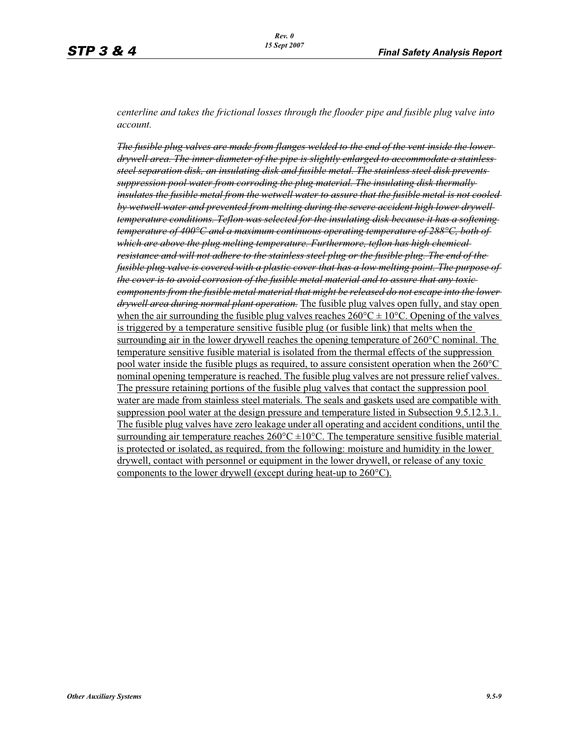*centerline and takes the frictional losses through the flooder pipe and fusible plug valve into account.*

*The fusible plug valves are made from flanges welded to the end of the vent inside the lower drywell area. The inner diameter of the pipe is slightly enlarged to accommodate a stainless steel separation disk, an insulating disk and fusible metal. The stainless steel disk prevents suppression pool water from corroding the plug material. The insulating disk thermally insulates the fusible metal from the wetwell water to assure that the fusible metal is not cooled by wetwell water and prevented from melting during the severe accident high lower drywell temperature conditions. Teflon was selected for the insulating disk because it has a softening temperature of 400°C and a maximum continuous operating temperature of 288°C, both of which are above the plug melting temperature. Furthermore, teflon has high chemical resistance and will not adhere to the stainless steel plug or the fusible plug. The end of the fusible plug valve is covered with a plastic cover that has a low melting point. The purpose of the cover is to avoid corrosion of the fusible metal material and to assure that any toxic components from the fusible metal material that might be released do not escape into the lower drywell area during normal plant operation.* The fusible plug valves open fully, and stay open when the air surrounding the fusible plug valves reaches  $260^{\circ}C \pm 10^{\circ}C$ . Opening of the valves is triggered by a temperature sensitive fusible plug (or fusible link) that melts when the surrounding air in the lower drywell reaches the opening temperature of 260°C nominal. The temperature sensitive fusible material is isolated from the thermal effects of the suppression pool water inside the fusible plugs as required, to assure consistent operation when the 260°C nominal opening temperature is reached. The fusible plug valves are not pressure relief valves. The pressure retaining portions of the fusible plug valves that contact the suppression pool water are made from stainless steel materials. The seals and gaskets used are compatible with suppression pool water at the design pressure and temperature listed in Subsection 9.5.12.3.1. The fusible plug valves have zero leakage under all operating and accident conditions, until the surrounding air temperature reaches  $260^{\circ}$ C  $\pm 10^{\circ}$ C. The temperature sensitive fusible material is protected or isolated, as required, from the following: moisture and humidity in the lower drywell, contact with personnel or equipment in the lower drywell, or release of any toxic components to the lower drywell (except during heat-up to 260°C).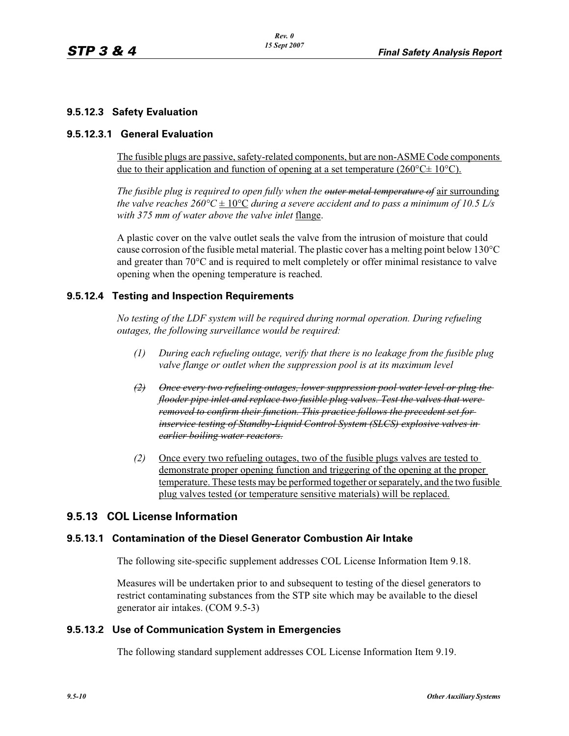## **9.5.12.3 Safety Evaluation**

#### **9.5.12.3.1 General Evaluation**

The fusible plugs are passive, safety-related components, but are non-ASME Code components due to their application and function of opening at a set temperature ( $260^{\circ}$ C $\pm$  10<sup>o</sup>C).

*The fusible plug is required to open fully when the outer metal temperature of* air surrounding *the valve reaches 260°C*  $\pm 10^{\circ}$ *C during a severe accident and to pass a minimum of 10.5 L/s with 375 mm of water above the valve inlet* flange.

A plastic cover on the valve outlet seals the valve from the intrusion of moisture that could cause corrosion of the fusible metal material. The plastic cover has a melting point below  $130^{\circ}$ C and greater than 70°C and is required to melt completely or offer minimal resistance to valve opening when the opening temperature is reached.

#### **9.5.12.4 Testing and Inspection Requirements**

*No testing of the LDF system will be required during normal operation. During refueling outages, the following surveillance would be required:*

- *(1) During each refueling outage, verify that there is no leakage from the fusible plug valve flange or outlet when the suppression pool is at its maximum level*
- *(2) Once every two refueling outages, lower suppression pool water level or plug the flooder pipe inlet and replace two fusible plug valves. Test the valves that were removed to confirm their function. This practice follows the precedent set for inservice testing of Standby-Liquid Control System (SLCS) explosive valves in earlier boiling water reactors.*
- *(2)* Once every two refueling outages, two of the fusible plugs valves are tested to demonstrate proper opening function and triggering of the opening at the proper temperature. These tests may be performed together or separately, and the two fusible plug valves tested (or temperature sensitive materials) will be replaced.

## **9.5.13 COL License Information**

#### **9.5.13.1 Contamination of the Diesel Generator Combustion Air Intake**

The following site-specific supplement addresses COL License Information Item 9.18.

Measures will be undertaken prior to and subsequent to testing of the diesel generators to restrict contaminating substances from the STP site which may be available to the diesel generator air intakes. (COM 9.5-3)

#### **9.5.13.2 Use of Communication System in Emergencies**

The following standard supplement addresses COL License Information Item 9.19.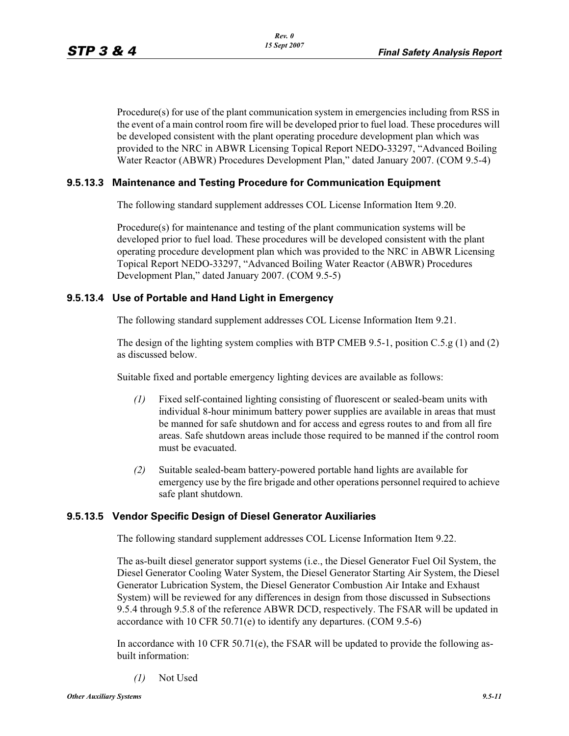Procedure(s) for use of the plant communication system in emergencies including from RSS in the event of a main control room fire will be developed prior to fuel load. These procedures will be developed consistent with the plant operating procedure development plan which was provided to the NRC in ABWR Licensing Topical Report NEDO-33297, "Advanced Boiling Water Reactor (ABWR) Procedures Development Plan," dated January 2007. (COM 9.5-4)

## **9.5.13.3 Maintenance and Testing Procedure for Communication Equipment**

The following standard supplement addresses COL License Information Item 9.20.

Procedure(s) for maintenance and testing of the plant communication systems will be developed prior to fuel load. These procedures will be developed consistent with the plant operating procedure development plan which was provided to the NRC in ABWR Licensing Topical Report NEDO-33297, "Advanced Boiling Water Reactor (ABWR) Procedures Development Plan," dated January 2007. (COM 9.5-5)

### **9.5.13.4 Use of Portable and Hand Light in Emergency**

The following standard supplement addresses COL License Information Item 9.21.

The design of the lighting system complies with BTP CMEB 9.5-1, position C.5.g (1) and (2) as discussed below.

Suitable fixed and portable emergency lighting devices are available as follows:

- *(1)* Fixed self-contained lighting consisting of fluorescent or sealed-beam units with individual 8-hour minimum battery power supplies are available in areas that must be manned for safe shutdown and for access and egress routes to and from all fire areas. Safe shutdown areas include those required to be manned if the control room must be evacuated.
- *(2)* Suitable sealed-beam battery-powered portable hand lights are available for emergency use by the fire brigade and other operations personnel required to achieve safe plant shutdown.

## **9.5.13.5 Vendor Specific Design of Diesel Generator Auxiliaries**

The following standard supplement addresses COL License Information Item 9.22.

The as-built diesel generator support systems (i.e., the Diesel Generator Fuel Oil System, the Diesel Generator Cooling Water System, the Diesel Generator Starting Air System, the Diesel Generator Lubrication System, the Diesel Generator Combustion Air Intake and Exhaust System) will be reviewed for any differences in design from those discussed in Subsections 9.5.4 through 9.5.8 of the reference ABWR DCD, respectively. The FSAR will be updated in accordance with 10 CFR 50.71(e) to identify any departures. (COM 9.5-6)

In accordance with 10 CFR 50.71(e), the FSAR will be updated to provide the following asbuilt information:

*(1)* Not Used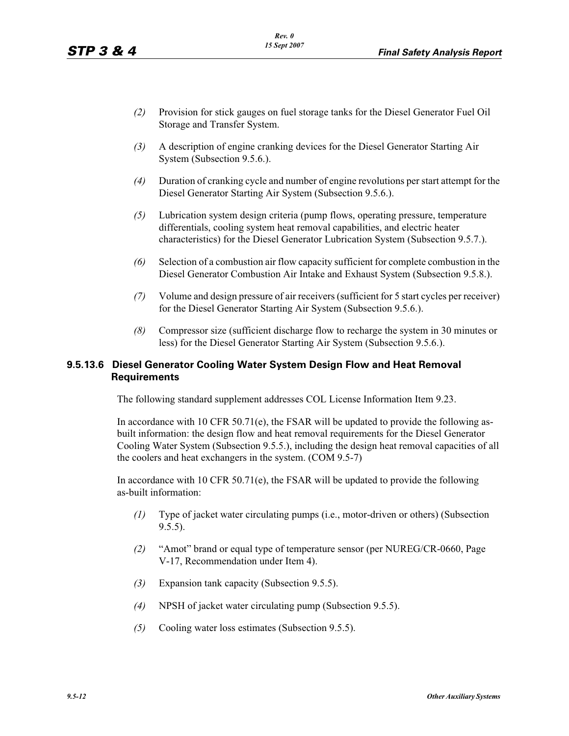- *(2)* Provision for stick gauges on fuel storage tanks for the Diesel Generator Fuel Oil Storage and Transfer System.
- *(3)* A description of engine cranking devices for the Diesel Generator Starting Air System (Subsection 9.5.6.).
- *(4)* Duration of cranking cycle and number of engine revolutions per start attempt for the Diesel Generator Starting Air System (Subsection 9.5.6.).
- *(5)* Lubrication system design criteria (pump flows, operating pressure, temperature differentials, cooling system heat removal capabilities, and electric heater characteristics) for the Diesel Generator Lubrication System (Subsection 9.5.7.).
- *(6)* Selection of a combustion air flow capacity sufficient for complete combustion in the Diesel Generator Combustion Air Intake and Exhaust System (Subsection 9.5.8.).
- *(7)* Volume and design pressure of air receivers (sufficient for 5 start cycles per receiver) for the Diesel Generator Starting Air System (Subsection 9.5.6.).
- *(8)* Compressor size (sufficient discharge flow to recharge the system in 30 minutes or less) for the Diesel Generator Starting Air System (Subsection 9.5.6.).

## **9.5.13.6 Diesel Generator Cooling Water System Design Flow and Heat Removal Requirements**

The following standard supplement addresses COL License Information Item 9.23.

In accordance with 10 CFR  $50.71(e)$ , the FSAR will be updated to provide the following asbuilt information: the design flow and heat removal requirements for the Diesel Generator Cooling Water System (Subsection 9.5.5.), including the design heat removal capacities of all the coolers and heat exchangers in the system. (COM 9.5-7)

In accordance with 10 CFR 50.71(e), the FSAR will be updated to provide the following as-built information:

- *(1)* Type of jacket water circulating pumps (i.e., motor-driven or others) (Subsection  $9.5.5$ ).
- *(2)* "Amot" brand or equal type of temperature sensor (per NUREG/CR-0660, Page V-17, Recommendation under Item 4).
- *(3)* Expansion tank capacity (Subsection 9.5.5).
- *(4)* NPSH of jacket water circulating pump (Subsection 9.5.5).
- *(5)* Cooling water loss estimates (Subsection 9.5.5).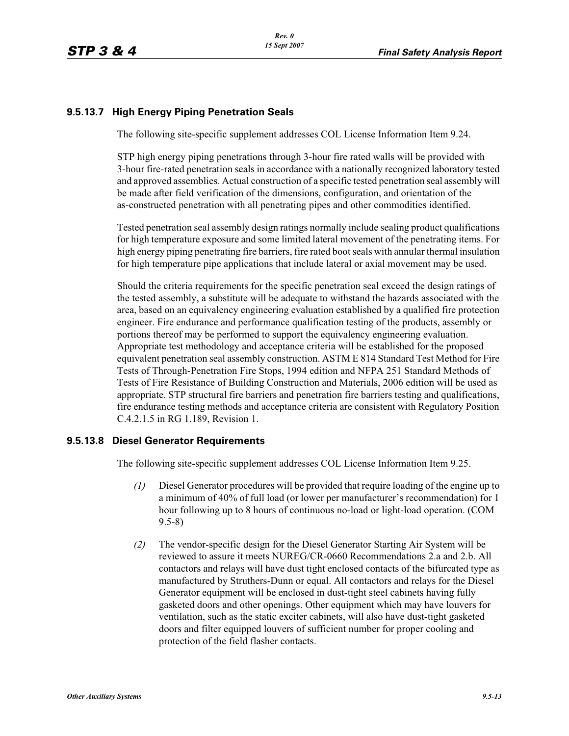## **9.5.13.7 High Energy Piping Penetration Seals**

The following site-specific supplement addresses COL License Information Item 9.24.

STP high energy piping penetrations through 3-hour fire rated walls will be provided with 3-hour fire-rated penetration seals in accordance with a nationally recognized laboratory tested and approved assemblies. Actual construction of a specific tested penetration seal assembly will be made after field verification of the dimensions, configuration, and orientation of the as-constructed penetration with all penetrating pipes and other commodities identified.

Tested penetration seal assembly design ratings normally include sealing product qualifications for high temperature exposure and some limited lateral movement of the penetrating items. For high energy piping penetrating fire barriers, fire rated boot seals with annular thermal insulation for high temperature pipe applications that include lateral or axial movement may be used.

Should the criteria requirements for the specific penetration seal exceed the design ratings of the tested assembly, a substitute will be adequate to withstand the hazards associated with the area, based on an equivalency engineering evaluation established by a qualified fire protection engineer. Fire endurance and performance qualification testing of the products, assembly or portions thereof may be performed to support the equivalency engineering evaluation. Appropriate test methodology and acceptance criteria will be established for the proposed equivalent penetration seal assembly construction. ASTM E 814 Standard Test Method for Fire Tests of Through-Penetration Fire Stops, 1994 edition and NFPA 251 Standard Methods of Tests of Fire Resistance of Building Construction and Materials, 2006 edition will be used as appropriate. STP structural fire barriers and penetration fire barriers testing and qualifications, fire endurance testing methods and acceptance criteria are consistent with Regulatory Position C.4.2.1.5 in RG 1.189, Revision 1.

## **9.5.13.8 Diesel Generator Requirements**

The following site-specific supplement addresses COL License Information Item 9.25.

- *(1)* Diesel Generator procedures will be provided that require loading of the engine up to a minimum of 40% of full load (or lower per manufacturer's recommendation) for 1 hour following up to 8 hours of continuous no-load or light-load operation. (COM 9.5-8)
- *(2)* The vendor-specific design for the Diesel Generator Starting Air System will be reviewed to assure it meets NUREG/CR-0660 Recommendations 2.a and 2.b. All contactors and relays will have dust tight enclosed contacts of the bifurcated type as manufactured by Struthers-Dunn or equal. All contactors and relays for the Diesel Generator equipment will be enclosed in dust-tight steel cabinets having fully gasketed doors and other openings. Other equipment which may have louvers for ventilation, such as the static exciter cabinets, will also have dust-tight gasketed doors and filter equipped louvers of sufficient number for proper cooling and protection of the field flasher contacts.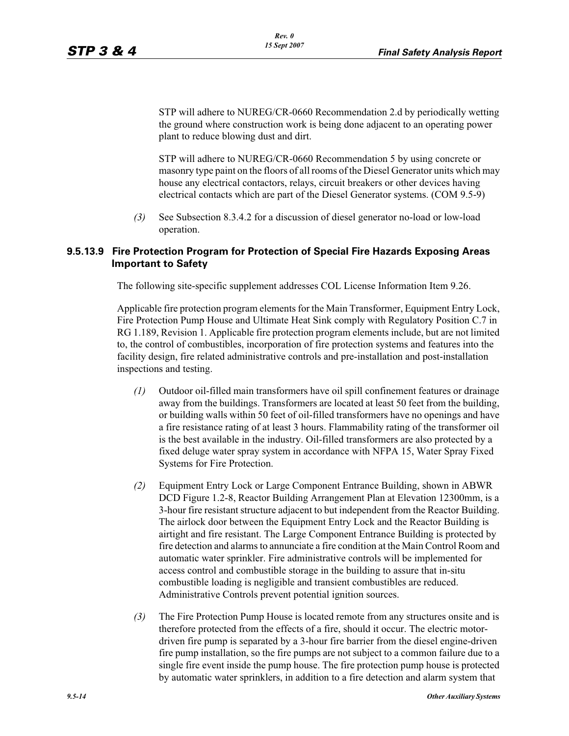STP will adhere to NUREG/CR-0660 Recommendation 2.d by periodically wetting the ground where construction work is being done adjacent to an operating power plant to reduce blowing dust and dirt.

STP will adhere to NUREG/CR-0660 Recommendation 5 by using concrete or masonry type paint on the floors of all rooms of the Diesel Generator units which may house any electrical contactors, relays, circuit breakers or other devices having electrical contacts which are part of the Diesel Generator systems. (COM 9.5-9)

*(3)* See Subsection 8.3.4.2 for a discussion of diesel generator no-load or low-load operation.

### **9.5.13.9 Fire Protection Program for Protection of Special Fire Hazards Exposing Areas Important to Safety**

The following site-specific supplement addresses COL License Information Item 9.26.

Applicable fire protection program elements for the Main Transformer, Equipment Entry Lock, Fire Protection Pump House and Ultimate Heat Sink comply with Regulatory Position C.7 in RG 1.189, Revision 1. Applicable fire protection program elements include, but are not limited to, the control of combustibles, incorporation of fire protection systems and features into the facility design, fire related administrative controls and pre-installation and post-installation inspections and testing.

- *(1)* Outdoor oil-filled main transformers have oil spill confinement features or drainage away from the buildings. Transformers are located at least 50 feet from the building, or building walls within 50 feet of oil-filled transformers have no openings and have a fire resistance rating of at least 3 hours. Flammability rating of the transformer oil is the best available in the industry. Oil-filled transformers are also protected by a fixed deluge water spray system in accordance with NFPA 15, Water Spray Fixed Systems for Fire Protection.
- *(2)* Equipment Entry Lock or Large Component Entrance Building, shown in ABWR DCD Figure 1.2-8, Reactor Building Arrangement Plan at Elevation 12300mm, is a 3-hour fire resistant structure adjacent to but independent from the Reactor Building. The airlock door between the Equipment Entry Lock and the Reactor Building is airtight and fire resistant. The Large Component Entrance Building is protected by fire detection and alarms to annunciate a fire condition at the Main Control Room and automatic water sprinkler. Fire administrative controls will be implemented for access control and combustible storage in the building to assure that in-situ combustible loading is negligible and transient combustibles are reduced. Administrative Controls prevent potential ignition sources.
- *(3)* The Fire Protection Pump House is located remote from any structures onsite and is therefore protected from the effects of a fire, should it occur. The electric motordriven fire pump is separated by a 3-hour fire barrier from the diesel engine-driven fire pump installation, so the fire pumps are not subject to a common failure due to a single fire event inside the pump house. The fire protection pump house is protected by automatic water sprinklers, in addition to a fire detection and alarm system that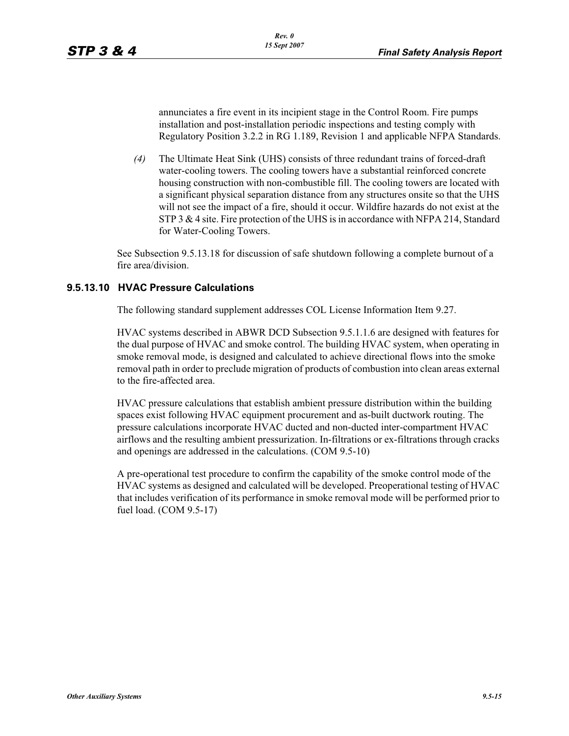annunciates a fire event in its incipient stage in the Control Room. Fire pumps installation and post-installation periodic inspections and testing comply with Regulatory Position 3.2.2 in RG 1.189, Revision 1 and applicable NFPA Standards.

*(4)* The Ultimate Heat Sink (UHS) consists of three redundant trains of forced-draft water-cooling towers. The cooling towers have a substantial reinforced concrete housing construction with non-combustible fill. The cooling towers are located with a significant physical separation distance from any structures onsite so that the UHS will not see the impact of a fire, should it occur. Wildfire hazards do not exist at the STP 3 & 4 site. Fire protection of the UHS is in accordance with NFPA 214, Standard for Water-Cooling Towers.

See Subsection 9.5.13.18 for discussion of safe shutdown following a complete burnout of a fire area/division.

### **9.5.13.10 HVAC Pressure Calculations**

The following standard supplement addresses COL License Information Item 9.27.

HVAC systems described in ABWR DCD Subsection 9.5.1.1.6 are designed with features for the dual purpose of HVAC and smoke control. The building HVAC system, when operating in smoke removal mode, is designed and calculated to achieve directional flows into the smoke removal path in order to preclude migration of products of combustion into clean areas external to the fire-affected area.

HVAC pressure calculations that establish ambient pressure distribution within the building spaces exist following HVAC equipment procurement and as-built ductwork routing. The pressure calculations incorporate HVAC ducted and non-ducted inter-compartment HVAC airflows and the resulting ambient pressurization. In-filtrations or ex-filtrations through cracks and openings are addressed in the calculations. (COM 9.5-10)

A pre-operational test procedure to confirm the capability of the smoke control mode of the HVAC systems as designed and calculated will be developed. Preoperational testing of HVAC that includes verification of its performance in smoke removal mode will be performed prior to fuel load. (COM 9.5-17)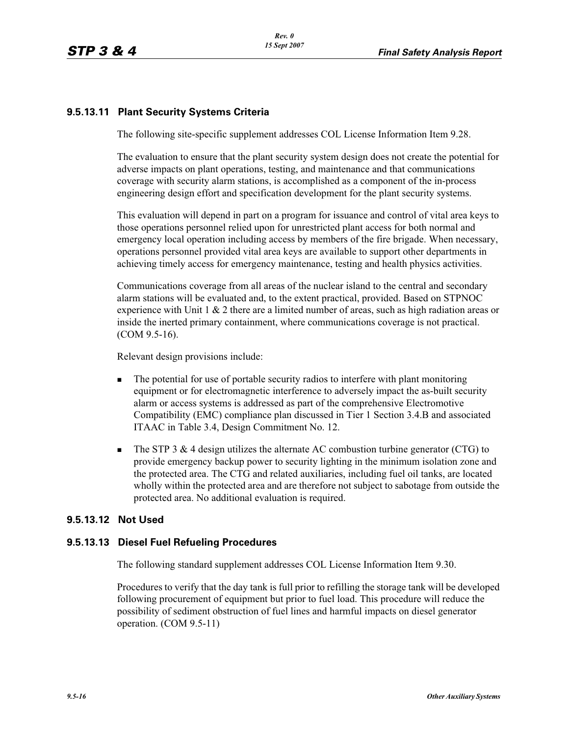## **9.5.13.11 Plant Security Systems Criteria**

The following site-specific supplement addresses COL License Information Item 9.28.

The evaluation to ensure that the plant security system design does not create the potential for adverse impacts on plant operations, testing, and maintenance and that communications coverage with security alarm stations, is accomplished as a component of the in-process engineering design effort and specification development for the plant security systems.

This evaluation will depend in part on a program for issuance and control of vital area keys to those operations personnel relied upon for unrestricted plant access for both normal and emergency local operation including access by members of the fire brigade. When necessary, operations personnel provided vital area keys are available to support other departments in achieving timely access for emergency maintenance, testing and health physics activities.

Communications coverage from all areas of the nuclear island to the central and secondary alarm stations will be evaluated and, to the extent practical, provided. Based on STPNOC experience with Unit  $1 \& 2$  there are a limited number of areas, such as high radiation areas or inside the inerted primary containment, where communications coverage is not practical. (COM 9.5-16).

Relevant design provisions include:

- - The potential for use of portable security radios to interfere with plant monitoring equipment or for electromagnetic interference to adversely impact the as-built security alarm or access systems is addressed as part of the comprehensive Electromotive Compatibility (EMC) compliance plan discussed in Tier 1 Section 3.4.B and associated ITAAC in Table 3.4, Design Commitment No. 12.
- - The STP 3 & 4 design utilizes the alternate AC combustion turbine generator (CTG) to provide emergency backup power to security lighting in the minimum isolation zone and the protected area. The CTG and related auxiliaries, including fuel oil tanks, are located wholly within the protected area and are therefore not subject to sabotage from outside the protected area. No additional evaluation is required.

#### **9.5.13.12 Not Used**

#### **9.5.13.13 Diesel Fuel Refueling Procedures**

The following standard supplement addresses COL License Information Item 9.30.

Procedures to verify that the day tank is full prior to refilling the storage tank will be developed following procurement of equipment but prior to fuel load. This procedure will reduce the possibility of sediment obstruction of fuel lines and harmful impacts on diesel generator operation. (COM 9.5-11)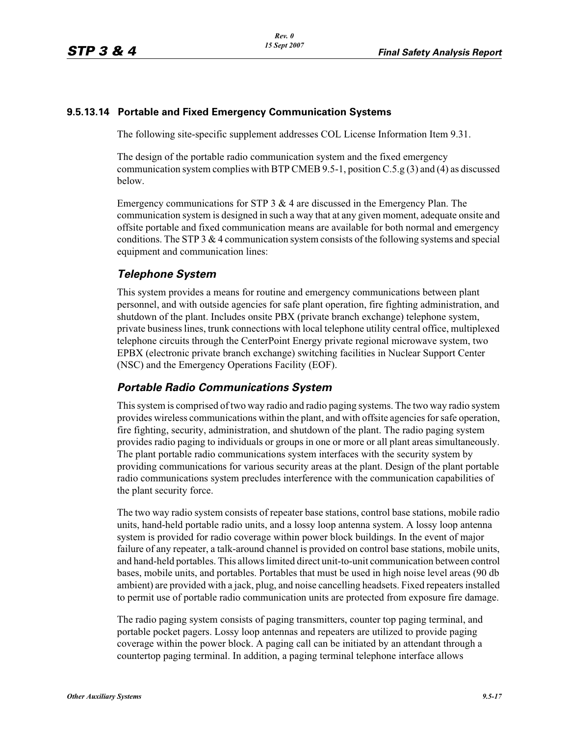#### **9.5.13.14 Portable and Fixed Emergency Communication Systems**

The following site-specific supplement addresses COL License Information Item 9.31.

The design of the portable radio communication system and the fixed emergency communication system complies with BTP CMEB 9.5-1, position C.5.g (3) and (4) as discussed below.

Emergency communications for STP 3 & 4 are discussed in the Emergency Plan. The communication system is designed in such a way that at any given moment, adequate onsite and offsite portable and fixed communication means are available for both normal and emergency conditions. The STP 3 & 4 communication system consists of the following systems and special equipment and communication lines:

## *Telephone System*

This system provides a means for routine and emergency communications between plant personnel, and with outside agencies for safe plant operation, fire fighting administration, and shutdown of the plant. Includes onsite PBX (private branch exchange) telephone system, private business lines, trunk connections with local telephone utility central office, multiplexed telephone circuits through the CenterPoint Energy private regional microwave system, two EPBX (electronic private branch exchange) switching facilities in Nuclear Support Center (NSC) and the Emergency Operations Facility (EOF).

## *Portable Radio Communications System*

This system is comprised of two way radio and radio paging systems. The two way radio system provides wireless communications within the plant, and with offsite agencies for safe operation, fire fighting, security, administration, and shutdown of the plant. The radio paging system provides radio paging to individuals or groups in one or more or all plant areas simultaneously. The plant portable radio communications system interfaces with the security system by providing communications for various security areas at the plant. Design of the plant portable radio communications system precludes interference with the communication capabilities of the plant security force.

The two way radio system consists of repeater base stations, control base stations, mobile radio units, hand-held portable radio units, and a lossy loop antenna system. A lossy loop antenna system is provided for radio coverage within power block buildings. In the event of major failure of any repeater, a talk-around channel is provided on control base stations, mobile units, and hand-held portables. This allows limited direct unit-to-unit communication between control bases, mobile units, and portables. Portables that must be used in high noise level areas (90 db ambient) are provided with a jack, plug, and noise cancelling headsets. Fixed repeaters installed to permit use of portable radio communication units are protected from exposure fire damage.

The radio paging system consists of paging transmitters, counter top paging terminal, and portable pocket pagers. Lossy loop antennas and repeaters are utilized to provide paging coverage within the power block. A paging call can be initiated by an attendant through a countertop paging terminal. In addition, a paging terminal telephone interface allows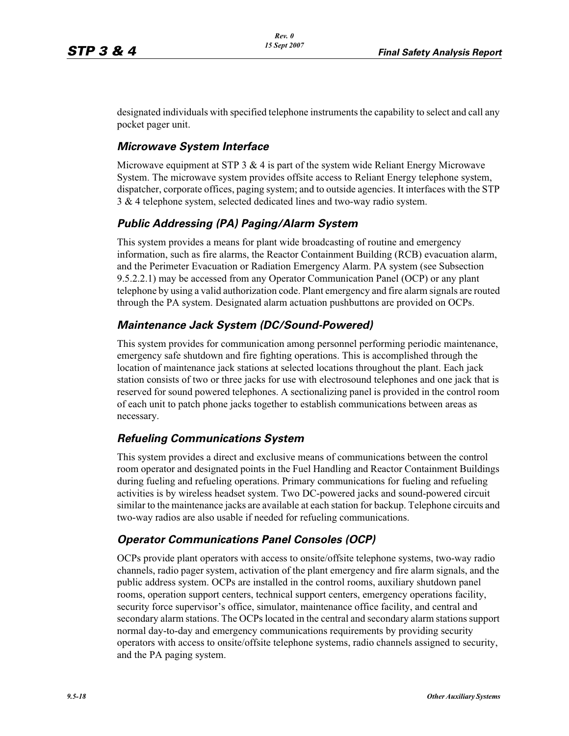designated individuals with specified telephone instruments the capability to select and call any pocket pager unit.

## *Microwave System Interface*

Microwave equipment at STP 3  $\&$  4 is part of the system wide Reliant Energy Microwave System. The microwave system provides offsite access to Reliant Energy telephone system, dispatcher, corporate offices, paging system; and to outside agencies. It interfaces with the STP 3 & 4 telephone system, selected dedicated lines and two-way radio system.

## *Public Addressing (PA) Paging/Alarm System*

This system provides a means for plant wide broadcasting of routine and emergency information, such as fire alarms, the Reactor Containment Building (RCB) evacuation alarm, and the Perimeter Evacuation or Radiation Emergency Alarm. PA system (see Subsection 9.5.2.2.1) may be accessed from any Operator Communication Panel (OCP) or any plant telephone by using a valid authorization code. Plant emergency and fire alarm signals are routed through the PA system. Designated alarm actuation pushbuttons are provided on OCPs.

## *Maintenance Jack System (DC/Sound-Powered)*

This system provides for communication among personnel performing periodic maintenance, emergency safe shutdown and fire fighting operations. This is accomplished through the location of maintenance jack stations at selected locations throughout the plant. Each jack station consists of two or three jacks for use with electrosound telephones and one jack that is reserved for sound powered telephones. A sectionalizing panel is provided in the control room of each unit to patch phone jacks together to establish communications between areas as necessary.

## *Refueling Communications System*

This system provides a direct and exclusive means of communications between the control room operator and designated points in the Fuel Handling and Reactor Containment Buildings during fueling and refueling operations. Primary communications for fueling and refueling activities is by wireless headset system. Two DC-powered jacks and sound-powered circuit similar to the maintenance jacks are available at each station for backup. Telephone circuits and two-way radios are also usable if needed for refueling communications.

## *Operator Communications Panel Consoles (OCP)*

OCPs provide plant operators with access to onsite/offsite telephone systems, two-way radio channels, radio pager system, activation of the plant emergency and fire alarm signals, and the public address system. OCPs are installed in the control rooms, auxiliary shutdown panel rooms, operation support centers, technical support centers, emergency operations facility, security force supervisor's office, simulator, maintenance office facility, and central and secondary alarm stations. The OCPs located in the central and secondary alarm stations support normal day-to-day and emergency communications requirements by providing security operators with access to onsite/offsite telephone systems, radio channels assigned to security, and the PA paging system.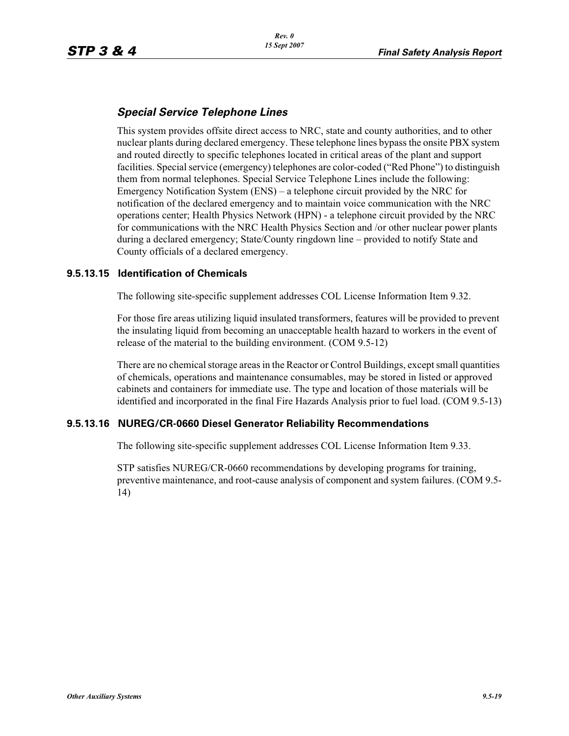## *Special Service Telephone Lines*

This system provides offsite direct access to NRC, state and county authorities, and to other nuclear plants during declared emergency. These telephone lines bypass the onsite PBX system and routed directly to specific telephones located in critical areas of the plant and support facilities. Special service (emergency) telephones are color-coded ("Red Phone") to distinguish them from normal telephones. Special Service Telephone Lines include the following: Emergency Notification System (ENS) – a telephone circuit provided by the NRC for notification of the declared emergency and to maintain voice communication with the NRC operations center; Health Physics Network (HPN) - a telephone circuit provided by the NRC for communications with the NRC Health Physics Section and /or other nuclear power plants during a declared emergency; State/County ringdown line – provided to notify State and County officials of a declared emergency.

### **9.5.13.15 Identification of Chemicals**

The following site-specific supplement addresses COL License Information Item 9.32.

For those fire areas utilizing liquid insulated transformers, features will be provided to prevent the insulating liquid from becoming an unacceptable health hazard to workers in the event of release of the material to the building environment. (COM 9.5-12)

There are no chemical storage areas in the Reactor or Control Buildings, except small quantities of chemicals, operations and maintenance consumables, may be stored in listed or approved cabinets and containers for immediate use. The type and location of those materials will be identified and incorporated in the final Fire Hazards Analysis prior to fuel load. (COM 9.5-13)

#### **9.5.13.16 NUREG/CR-0660 Diesel Generator Reliability Recommendations**

The following site-specific supplement addresses COL License Information Item 9.33.

STP satisfies NUREG/CR-0660 recommendations by developing programs for training, preventive maintenance, and root-cause analysis of component and system failures. (COM 9.5- 14)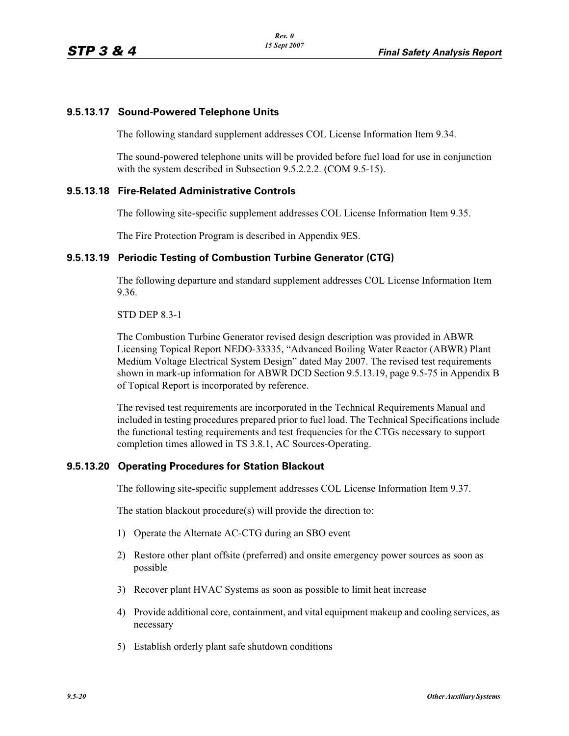## **9.5.13.17 Sound-Powered Telephone Units**

The following standard supplement addresses COL License Information Item 9.34.

The sound-powered telephone units will be provided before fuel load for use in conjunction with the system described in Subsection 9.5.2.2.2. (COM 9.5-15).

#### **9.5.13.18 Fire-Related Administrative Controls**

The following site-specific supplement addresses COL License Information Item 9.35.

The Fire Protection Program is described in Appendix 9ES.

### **9.5.13.19 Periodic Testing of Combustion Turbine Generator (CTG)**

The following departure and standard supplement addresses COL License Information Item 9.36.

STD DEP 8.3-1

The Combustion Turbine Generator revised design description was provided in ABWR Licensing Topical Report NEDO-33335, "Advanced Boiling Water Reactor (ABWR) Plant Medium Voltage Electrical System Design" dated May 2007. The revised test requirements shown in mark-up information for ABWR DCD Section 9.5.13.19, page 9.5-75 in Appendix B of Topical Report is incorporated by reference.

The revised test requirements are incorporated in the Technical Requirements Manual and included in testing procedures prepared prior to fuel load. The Technical Specifications include the functional testing requirements and test frequencies for the CTGs necessary to support completion times allowed in TS 3.8.1, AC Sources-Operating.

#### **9.5.13.20 Operating Procedures for Station Blackout**

The following site-specific supplement addresses COL License Information Item 9.37.

The station blackout procedure(s) will provide the direction to:

- 1) Operate the Alternate AC-CTG during an SBO event
- 2) Restore other plant offsite (preferred) and onsite emergency power sources as soon as possible
- 3) Recover plant HVAC Systems as soon as possible to limit heat increase
- 4) Provide additional core, containment, and vital equipment makeup and cooling services, as necessary
- 5) Establish orderly plant safe shutdown conditions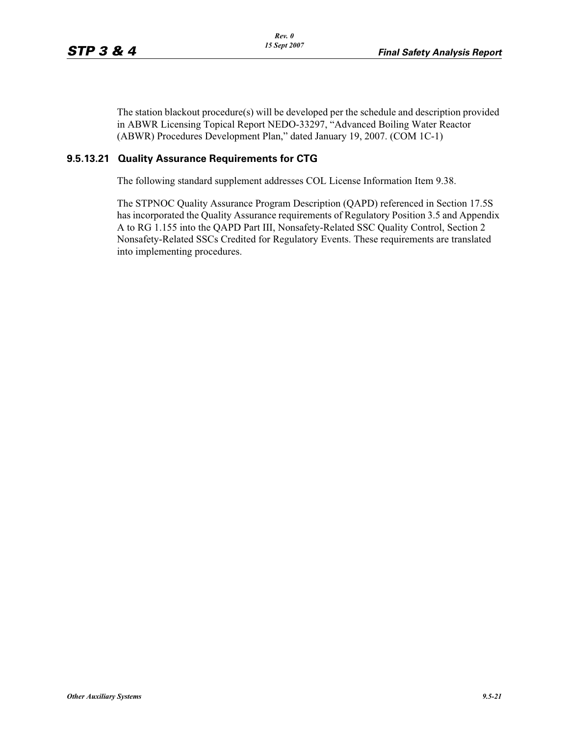The station blackout procedure(s) will be developed per the schedule and description provided in ABWR Licensing Topical Report NEDO-33297, "Advanced Boiling Water Reactor (ABWR) Procedures Development Plan," dated January 19, 2007. (COM 1C-1)

## **9.5.13.21 Quality Assurance Requirements for CTG**

The following standard supplement addresses COL License Information Item 9.38.

The STPNOC Quality Assurance Program Description (QAPD) referenced in Section 17.5S has incorporated the Quality Assurance requirements of Regulatory Position 3.5 and Appendix A to RG 1.155 into the QAPD Part III, Nonsafety-Related SSC Quality Control, Section 2 Nonsafety-Related SSCs Credited for Regulatory Events. These requirements are translated into implementing procedures.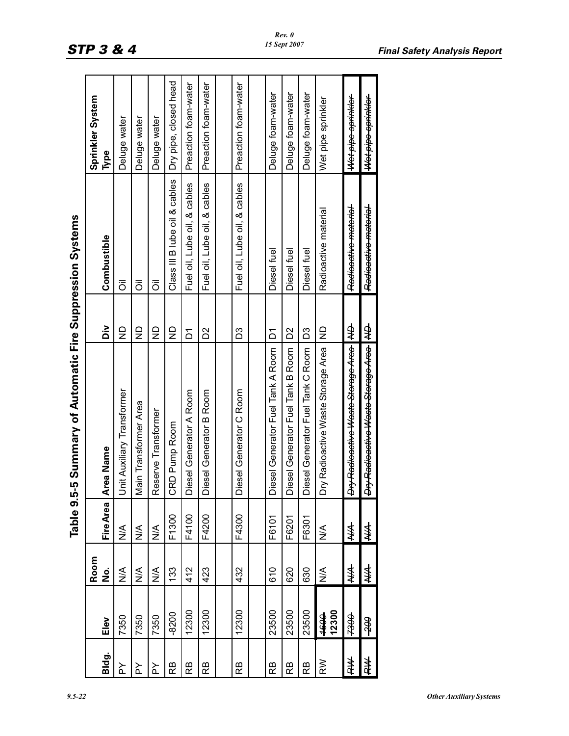| <br>٧ | ۰. |  |
|-------|----|--|
|       |    |  |

|        |                |      |                         | Table 9.5-5 Summary of Automatic Fire Suppression Systems |                                 |                                 |                       |
|--------|----------------|------|-------------------------|-----------------------------------------------------------|---------------------------------|---------------------------------|-----------------------|
|        |                | Room |                         |                                                           |                                 |                                 | Sprinkler System      |
| Bldg.  | Elev           | ġ    | <b>FireArea</b>         | <b>Area Name</b><br>⋖                                     | òί                              | Combustible                     | Type                  |
| ≿      | 7350           | ⋚    | ⋚                       | Unit Auxiliary Transformer                                | $\mathsf{S}$                    | $\overline{\overline{0}}$       | Deluge water          |
| ≿      | 7350           | ⋚    | ⋚                       | Main Transformer Area                                     | $\mathsf{S}$                    | ō                               | Deluge water          |
| ≿      | 7350           | ⋚    | ⋚                       | Reserve Transformer                                       | $\frac{\mathsf{D}}{\mathsf{Z}}$ | ō                               | Deluge water          |
| ВB     | $-8200$        | 133  | F1300                   | CRD Pump Room                                             | ₽                               | Class III B lube oil & cables   | Dry pipe, closed head |
| Вă     | 12300          | 412  | F4100                   | Diesel Generator A Room                                   | δ                               | Fuel oil, Lube oil, & cables    | Preaction foam-water  |
| ВB     | 12300          | 423  | F4200                   | Diesel Generator B Room                                   | ΣS                              | Fuel oil, Lube oil, & cables    | Preaction foam-water  |
|        |                |      |                         |                                                           |                                 |                                 |                       |
| ВB     | 12300          | 432  | F4300                   | Diesel Generator C Room                                   | Sg                              | Fuel oil, Lube oil, & cables    | Preaction foam-water  |
|        |                |      |                         |                                                           |                                 |                                 |                       |
| Вă     | 23500          | 610  | F6101                   | Diesel Generator Fuel Tank A Room                         | δ                               | Diesel fuel                     | Deluge foam-water     |
| Вă     | 23500          | 620  | F6201                   | Diesel Generator Fuel Tank B Room                         | δ                               | Diesel fuel                     | Deluge foam-water     |
| ВB     | 23500          | 630  | F6301                   | Diesel Generator Fuel Tank C Room                         | Sg                              | Diesel fuel                     | Deluge foam-water     |
| ΚŇ     | 12300<br>1694  | ⋚    | $\stackrel{\leq}{\geq}$ | Dry Radioactive Waste Storage Area                        | $\frac{1}{2}$                   | Radioactive material            | Wet pipe sprinkler    |
| 44     | ₩              | ≸    | ≸                       | Dry Radioactive Waste Storage Area                        | ₿                               | Radioactivo material            | Wetpipe sprinkler     |
| ≸<br>4 | <del>00Z</del> | ≸    | ≸                       | Dry Radioactive Waste Sterage Area ND                     |                                 | <del>Radioactive material</del> | Wet pipe sprinkler    |

| ×<br>۰. |  |  |
|---------|--|--|
|         |  |  |

*Rev. 0 15 Sept 2007*

*9.5-22 Other Auxiliary Systems*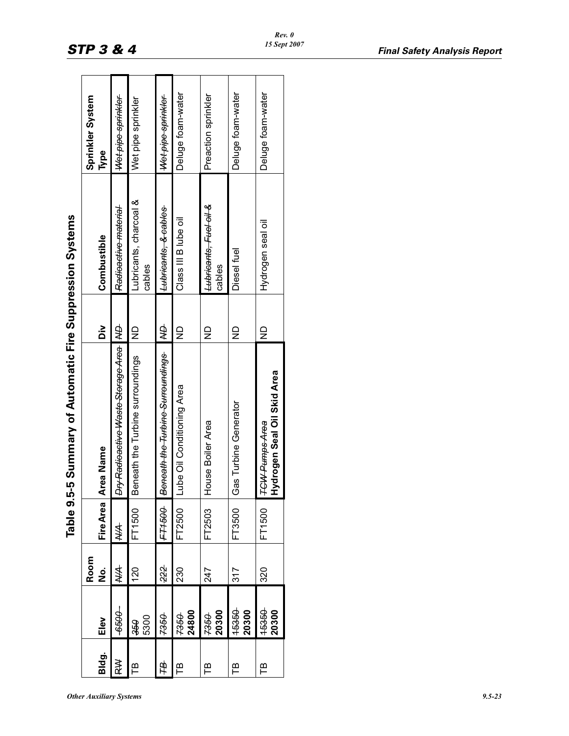| <b>Other Auxiliary Systems</b> | $9.5 - 23$ |
|--------------------------------|------------|
|--------------------------------|------------|

|        |                |                            |           | Table 9.5-5 Summary of Automatic Fire Suppression Systems |                                 |                                                  |                          |  |
|--------|----------------|----------------------------|-----------|-----------------------------------------------------------|---------------------------------|--------------------------------------------------|--------------------------|--|
| Bldg.  | Elev           | Room<br>$\dot{\mathsf{z}}$ | Fire Area | <b>Area Name</b><br>⋖                                     | òi                              | Combustible                                      | Sprinkler System<br>Type |  |
| ≧<br>∝ | -9659-         | ≸                          | ≸         | Dry Radioactive Waste Storage Area   ND                   |                                 | Radioactive material                             | Wet pipe sprinkler       |  |
| Ë      | 5300<br>950    | 120                        | FT1500    | Beneath the Turbine surroundings                          | $\supseteq$                     | Lubricants, charcoal &<br>cables                 | Wet pipe sprinkler       |  |
| 申      | 7350           | 222                        | FT1500    | Beneath the Turbine Surroundings                          | ₿                               | Lubricants, & cables                             | Wet pipe sprinkler       |  |
| 巴      | 24800<br>7350  | 230                        | FT2500    | Lube Oil Conditioning Area                                | $\frac{\mathsf{D}}{\mathsf{Z}}$ | Class III B lube oil                             | Deluge foam-water        |  |
| Έ      | 20300<br>7350  | 247                        | FT2503    | House Boiler Area                                         | $\overline{\Xi}$                | L <del>ubricants, Fucl oil &amp;</del><br>cables | Preaction sprinkler      |  |
| 巴      | 15350<br>20300 | 317                        | FT3500    | Gas Turbine Generator                                     | $\overline{\Xi}$                | Diesel fuel                                      | Deluge foam-water        |  |
| Έ      | 15350<br>20300 | 320                        | FT1500    | Hydrogen Seal Oil Skid Area<br><b>TCW Pumps Area</b>      | $\mathsf{R}$                    | Hydrogen seal oil                                | Deluge foam-water        |  |